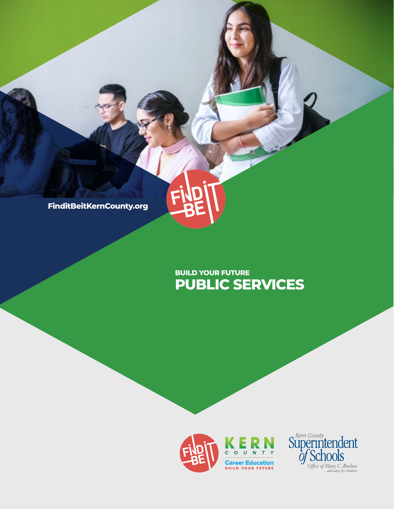

# **PUBLIC SERVICES BUILD YOUR FUTURE**